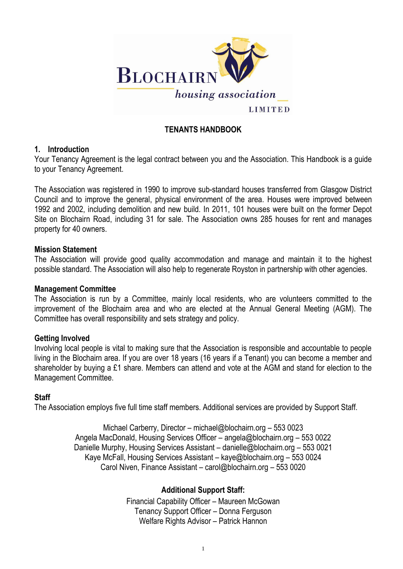1



## **TENANTS HANDBOOK**

### **1. Introduction**

Your Tenancy Agreement is the legal contract between you and the Association. This Handbook is a guide to your Tenancy Agreement.

The Association was registered in 1990 to improve sub-standard houses transferred from Glasgow District Council and to improve the general, physical environment of the area. Houses were improved between 1992 and 2002, including demolition and new build. In 2011, 101 houses were built on the former Depot Site on Blochairn Road, including 31 for sale. The Association owns 285 houses for rent and manages property for 40 owners.

#### **Mission Statement**

The Association will provide good quality accommodation and manage and maintain it to the highest possible standard. The Association will also help to regenerate Royston in partnership with other agencies.

### **Management Committee**

The Association is run by a Committee, mainly local residents, who are volunteers committed to the improvement of the Blochairn area and who are elected at the Annual General Meeting (AGM). The Committee has overall responsibility and sets strategy and policy.

#### **Getting Involved**

Involving local people is vital to making sure that the Association is responsible and accountable to people living in the Blochairn area. If you are over 18 years (16 years if a Tenant) you can become a member and shareholder by buying a £1 share. Members can attend and vote at the AGM and stand for election to the Management Committee.

#### **Staff**

The Association employs five full time staff members. Additional services are provided by Support Staff.

Michael Carberry, Director – [michael@blochairn.org](mailto:michael@blochairn.org) – 553 0023 Angela MacDonald, Housing Services Officer – [angela@blochairn.org](mailto:angela@blochairn.org) – 553 0022 Danielle Murphy, Housing Services Assistant – danielle@blochairn.org – 553 0021 Kaye McFall, Housing Services Assistant – [kaye@blochairn.org](mailto:kaye@blochairn.org) – 553 0024 Carol Niven, Finance Assistant – [carol@blochairn.org](mailto:carol@blochairn.org) – 553 0020

### **Additional Support Staff:**

Financial Capability Officer – Maureen McGowan Tenancy Support Officer – Donna Ferguson Welfare Rights Advisor – Patrick Hannon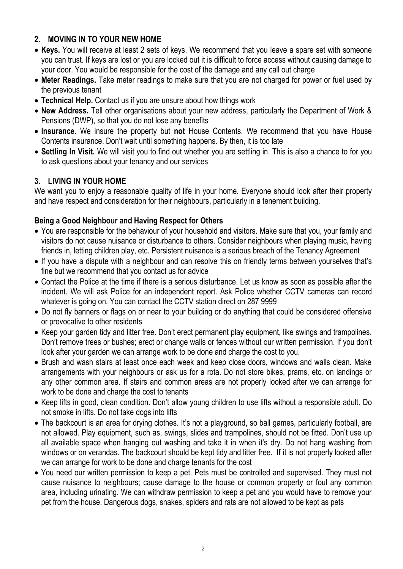# **2. MOVING IN TO YOUR NEW HOME**

- **Keys.** You will receive at least 2 sets of keys. We recommend that you leave a spare set with someone you can trust. If keys are lost or you are locked out it is difficult to force access without causing damage to your door. You would be responsible for the cost of the damage and any call out charge
- **Meter Readings.** Take meter readings to make sure that you are not charged for power or fuel used by the previous tenant
- **Technical Help.** Contact us if you are unsure about how things work
- **New Address.** Tell other organisations about your new address, particularly the Department of Work & Pensions (DWP), so that you do not lose any benefits
- **Insurance.** We insure the property but **not** House Contents. We recommend that you have House Contents insurance. Don't wait until something happens. By then, it is too late
- **Settling In Visit.** We will visit you to find out whether you are settling in. This is also a chance to for you to ask questions about your tenancy and our services

# **3. LIVING IN YOUR HOME**

We want you to enjoy a reasonable quality of life in your home. Everyone should look after their property and have respect and consideration for their neighbours, particularly in a tenement building.

## **Being a Good Neighbour and Having Respect for Others**

- You are responsible for the behaviour of your household and visitors. Make sure that you, your family and visitors do not cause nuisance or disturbance to others. Consider neighbours when playing music, having friends in, letting children play, etc. Persistent nuisance is a serious breach of the Tenancy Agreement
- If you have a dispute with a neighbour and can resolve this on friendly terms between yourselves that's fine but we recommend that you contact us for advice
- Contact the Police at the time if there is a serious disturbance. Let us know as soon as possible after the incident. We will ask Police for an independent report. Ask Police whether CCTV cameras can record whatever is going on. You can contact the CCTV station direct on 287 9999
- Do not fly banners or flags on or near to your building or do anything that could be considered offensive or provocative to other residents
- Keep your garden tidy and litter free. Don't erect permanent play equipment, like swings and trampolines. Don't remove trees or bushes; erect or change walls or fences without our written permission. If you don't look after your garden we can arrange work to be done and charge the cost to you.
- Brush and wash stairs at least once each week and keep close doors, windows and walls clean. Make arrangements with your neighbours or ask us for a rota. Do not store bikes, prams, etc. on landings or any other common area. If stairs and common areas are not properly looked after we can arrange for work to be done and charge the cost to tenants
- Keep lifts in good, clean condition. Don't allow young children to use lifts without a responsible adult. Do not smoke in lifts. Do not take dogs into lifts
- The backcourt is an area for drying clothes. It's not a playground, so ball games, particularly football, are not allowed. Play equipment, such as, swings, slides and trampolines, should not be fitted. Don't use up all available space when hanging out washing and take it in when it's dry. Do not hang washing from windows or on verandas. The backcourt should be kept tidy and litter free. If it is not properly looked after we can arrange for work to be done and charge tenants for the cost You need our written permission to keep a pet. Pets must be controlled and supervised. They must not cause nuisance to neighbours; cause damage to the house or common property or foul any common area, including urinating. We can withdraw permission to keep a pet and you would have to remove your pet from the house. Dangerous dogs, snakes, spiders and rats are not allowed to be kept as pets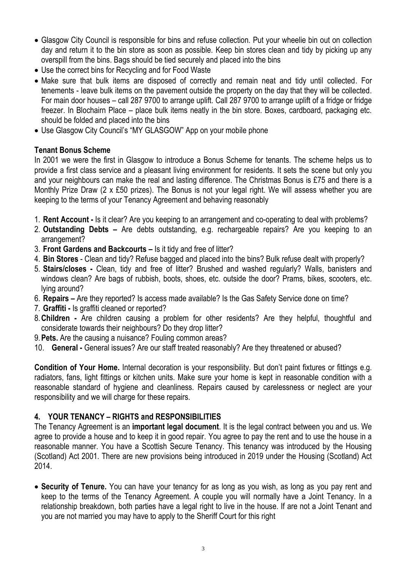- Glasgow City Council is responsible for bins and refuse collection. Put your wheelie bin out on collection day and return it to the bin store as soon as possible. Keep bin stores clean and tidy by picking up any overspill from the bins. Bags should be tied securely and placed into the bins
- Use the correct bins for Recycling and for Food Waste
- Make sure that bulk items are disposed of correctly and remain neat and tidy until collected. For tenements - leave bulk items on the pavement outside the property on the day that they will be collected. For main door houses – call 287 9700 to arrange uplift. Call 287 9700 to arrange uplift of a fridge or fridge freezer. In Blochairn Place – place bulk items neatly in the bin store. Boxes, cardboard, packaging etc. should be folded and placed into the bins
- Use Glasgow City Council's "MY GLASGOW" App on your mobile phone

### **Tenant Bonus Scheme**

In 2001 we were the first in Glasgow to introduce a Bonus Scheme for tenants. The scheme helps us to provide a first class service and a pleasant living environment for residents. It sets the scene but only you and your neighbours can make the real and lasting difference. The Christmas Bonus is £75 and there is a Monthly Prize Draw (2 x £50 prizes). The Bonus is not your legal right. We will assess whether you are keeping to the terms of your Tenancy Agreement and behaving reasonably

- 1. **Rent Account -** Is it clear? Are you keeping to an arrangement and co-operating to deal with problems?
- 2. **Outstanding Debts –** Are debts outstanding, e.g. rechargeable repairs? Are you keeping to an arrangement?
- 3. **Front Gardens and Backcourts –** Is it tidy and free of litter?
- 4. **Bin Stores** Clean and tidy? Refuse bagged and placed into the bins? Bulk refuse dealt with properly?
- 5. **Stairs/closes -** Clean, tidy and free of litter? Brushed and washed regularly? Walls, banisters and windows clean? Are bags of rubbish, boots, shoes, etc. outside the door? Prams, bikes, scooters, etc. lying around?
- 6. **Repairs –** Are they reported? Is access made available? Is the Gas Safety Service done on time?
- 7. **Graffiti -** Is graffiti cleaned or reported?
- 8.**Children -** Are children causing a problem for other residents? Are they helpful, thoughtful and considerate towards their neighbours? Do they drop litter?
- 9.**Pets.** Are the causing a nuisance? Fouling common areas?
- 10. **General -** General issues? Are our staff treated reasonably? Are they threatened or abused?

**Condition of Your Home.** Internal decoration is your responsibility. But don't paint fixtures or fittings e.g. radiators, fans, light fittings or kitchen units. Make sure your home is kept in reasonable condition with a reasonable standard of hygiene and cleanliness. Repairs caused by carelessness or neglect are your responsibility and we will charge for these repairs.

# **4. YOUR TENANCY – RIGHTS and RESPONSIBILITIES**

The Tenancy Agreement is an **important legal document**. It is the legal contract between you and us. We agree to provide a house and to keep it in good repair. You agree to pay the rent and to use the house in a reasonable manner. You have a Scottish Secure Tenancy. This tenancy was introduced by the Housing (Scotland) Act 2001. There are new provisions being introduced in 2019 under the Housing (Scotland) Act 2014.

 **Security of Tenure.** You can have your tenancy for as long as you wish, as long as you pay rent and keep to the terms of the Tenancy Agreement. A couple you will normally have a Joint Tenancy. In a relationship breakdown, both parties have a legal right to live in the house. If are not a Joint Tenant and you are not married you may have to apply to the Sheriff Court for this right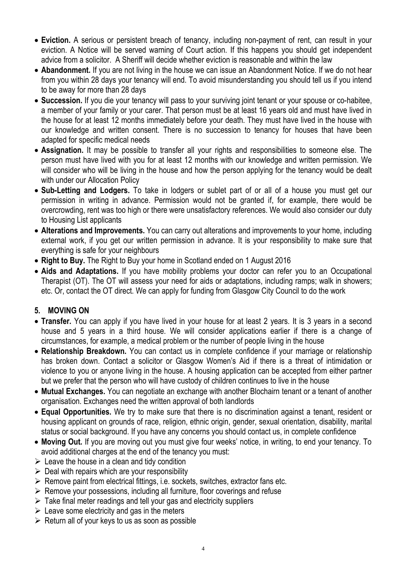4

- $\triangleright$  Leave the house in a clean and tidy condition
- $\triangleright$  Deal with repairs which are your responsibility
- $\triangleright$  Remove paint from electrical fittings, i.e. sockets, switches, extractor fans etc.
- $\triangleright$  Remove your possessions, including all furniture, floor coverings and refuse
- $\triangleright$  Take final meter readings and tell your gas and electricity suppliers
- $\triangleright$  Leave some electricity and gas in the meters
- $\triangleright$  Return all of your keys to us as soon as possible
- **Eviction.** A serious or persistent breach of tenancy, including non-payment of rent, can result in your eviction. A Notice will be served warning of Court action. If this happens you should get independent advice from a solicitor. A Sheriff will decide whether eviction is reasonable and within the law
- **Abandonment.** If you are not living in the house we can issue an Abandonment Notice. If we do not hear from you within 28 days your tenancy will end. To avoid misunderstanding you should tell us if you intend to be away for more than 28 days
- **Succession.** If you die your tenancy will pass to your surviving joint tenant or your spouse or co-habitee, a member of your family or your carer. That person must be at least 16 years old and must have lived in the house for at least 12 months immediately before your death. They must have lived in the house with our knowledge and written consent. There is no succession to tenancy for houses that have been adapted for specific medical needs
- **Assignation.** It may be possible to transfer all your rights and responsibilities to someone else. The person must have lived with you for at least 12 months with our knowledge and written permission. We will consider who will be living in the house and how the person applying for the tenancy would be dealt with under our Allocation Policy
- **Sub-Letting and Lodgers.** To take in lodgers or sublet part of or all of a house you must get our permission in writing in advance. Permission would not be granted if, for example, there would be overcrowding, rent was too high or there were unsatisfactory references. We would also consider our duty to Housing List applicants
- **Alterations and Improvements.** You can carry out alterations and improvements to your home, including external work, if you get our written permission in advance. It is your responsibility to make sure that everything is safe for your neighbours
- **Right to Buy.** The Right to Buy your home in Scotland ended on 1 August 2016
- **Aids and Adaptations.** If you have mobility problems your doctor can refer you to an Occupational Therapist (OT). The OT will assess your need for aids or adaptations, including ramps; walk in showers; etc. Or, contact the OT direct. We can apply for funding from Glasgow City Council to do the work

# **5. MOVING ON**

- **Transfer.** You can apply if you have lived in your house for at least 2 years. It is 3 years in a second house and 5 years in a third house. We will consider applications earlier if there is a change of circumstances, for example, a medical problem or the number of people living in the house
- **Relationship Breakdown.** You can contact us in complete confidence if your marriage or relationship has broken down. Contact a solicitor or Glasgow Women's Aid if there is a threat of intimidation or violence to you or anyone living in the house. A housing application can be accepted from either partner but we prefer that the person who will have custody of children continues to live in the house
- **Mutual Exchanges.** You can negotiate an exchange with another Blochairn tenant or a tenant of another organisation. Exchanges need the written approval of both landlords
- **Equal Opportunities.** We try to make sure that there is no discrimination against a tenant, resident or housing applicant on grounds of race, religion, ethnic origin, gender, sexual orientation, disability, marital status or social background. If you have any concerns you should contact us, in complete confidence
- **Moving Out.** If you are moving out you must give four weeks' notice, in writing, to end your tenancy. To avoid additional charges at the end of the tenancy you must: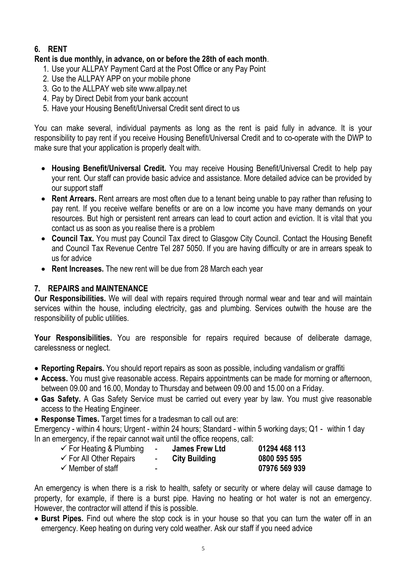# **6. RENT**

## **Rent is due monthly, in advance, on or before the 28th of each month**.

- 1. Use your ALLPAY Payment Card at the Post Office or any Pay Point
- 2. Use the ALLPAY APP on your mobile phone
- 3. Go to the ALLPAY web site www.allpay.net
- 4. Pay by Direct Debit from your bank account
- 5. Have your Housing Benefit/Universal Credit sent direct to us

You can make several, individual payments as long as the rent is paid fully in advance. It is your responsibility to pay rent if you receive Housing Benefit/Universal Credit and to co-operate with the DWP to make sure that your application is properly dealt with.

- **Housing Benefit/Universal Credit.** You may receive Housing Benefit/Universal Credit to help pay your rent. Our staff can provide basic advice and assistance. More detailed advice can be provided by our support staff
- **Rent Arrears.** Rent arrears are most often due to a tenant being unable to pay rather than refusing to pay rent. If you receive welfare benefits or are on a low income you have many demands on your resources. But high or persistent rent arrears can lead to court action and eviction. It is vital that you contact us as soon as you realise there is a problem
- **Council Tax.** You must pay Council Tax direct to Glasgow City Council. Contact the Housing Benefit and Council Tax Revenue Centre Tel 287 5050. If you are having difficulty or are in arrears speak to us for advice
- **Rent Increases.** The new rent will be due from 28 March each year

# **7. REPAIRS and MAINTENANCE**

**Our Responsibilities.** We will deal with repairs required through normal wear and tear and will maintain services within the house, including electricity, gas and plumbing. Services outwith the house are the responsibility of public utilities.

**Your Responsibilities.** You are responsible for repairs required because of deliberate damage, carelessness or neglect.

- **Reporting Repairs.** You should report repairs as soon as possible, including vandalism or graffiti
- **Access.** You must give reasonable access. Repairs appointments can be made for morning or afternoon, between 09.00 and 16.00, Monday to Thursday and between 09.00 and 15.00 on a Friday.
- **Gas Safety.** A Gas Safety Service must be carried out every year by law. You must give reasonable access to the Heating Engineer.
- **Response Times.** Target times for a tradesman to call out are:
- Emergency within 4 hours; Urgent within 24 hours; Standard within 5 working days; Q1 within 1 day

In an emergency, if the repair cannot wait until the office reopens, call:

 For Heating & Plumbing - **James Frew Ltd 01294 468 113** For All Other Repairs - **City Building 0800 595 595** Member of staff - **07976 569 939**

An emergency is when there is a risk to health, safety or security or where delay will cause damage to property, for example, if there is a burst pipe. Having no heating or hot water is not an emergency. However, the contractor will attend if this is possible.

 **Burst Pipes.** Find out where the stop cock is in your house so that you can turn the water off in an emergency. Keep heating on during very cold weather. Ask our staff if you need advice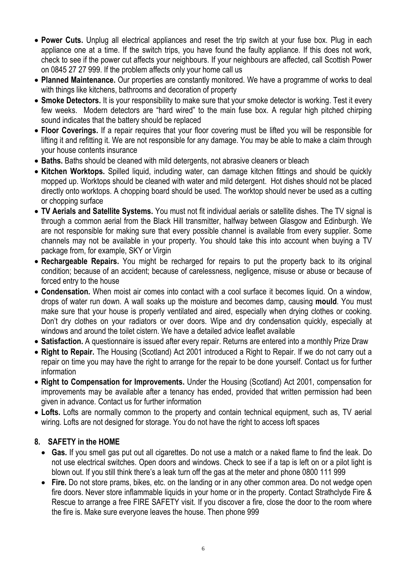- **Power Cuts.** Unplug all electrical appliances and reset the trip switch at your fuse box. Plug in each appliance one at a time. If the switch trips, you have found the faulty appliance. If this does not work, check to see if the power cut affects your neighbours. If your neighbours are affected, call Scottish Power on 0845 27 27 999. If the problem affects only your home call us
- **Planned Maintenance.** Our properties are constantly monitored. We have a programme of works to deal with things like kitchens, bathrooms and decoration of property
- **Smoke Detectors.** It is your responsibility to make sure that your smoke detector is working. Test it every few weeks. Modern detectors are "hard wired" to the main fuse box. A regular high pitched chirping sound indicates that the battery should be replaced
- **Floor Coverings.** If a repair requires that your floor covering must be lifted you will be responsible for lifting it and refitting it. We are not responsible for any damage. You may be able to make a claim through your house contents insurance
- **Baths.** Baths should be cleaned with mild detergents, not abrasive cleaners or bleach
- **Kitchen Worktops.** Spilled liquid, including water, can damage kitchen fittings and should be quickly mopped up. Worktops should be cleaned with water and mild detergent. Hot dishes should not be placed directly onto worktops. A chopping board should be used. The worktop should never be used as a cutting or chopping surface
- **TV Aerials and Satellite Systems.** You must not fit individual aerials or satellite dishes. The TV signal is through a common aerial from the Black Hill transmitter, halfway between Glasgow and Edinburgh. We are not responsible for making sure that every possible channel is available from every supplier. Some channels may not be available in your property. You should take this into account when buying a TV package from, for example, SKY or Virgin
- **Rechargeable Repairs.** You might be recharged for repairs to put the property back to its original condition; because of an accident; because of carelessness, negligence, misuse or abuse or because of forced entry to the house
- **Condensation.** When moist air comes into contact with a cool surface it becomes liquid. On a window, drops of water run down. A wall soaks up the moisture and becomes damp, causing **mould**. You must make sure that your house is properly ventilated and aired, especially when drying clothes or cooking. Don't dry clothes on your radiators or over doors. Wipe and dry condensation quickly, especially at windows and around the toilet cistern. We have a detailed advice leaflet available
- **Satisfaction.** A questionnaire is issued after every repair. Returns are entered into a monthly Prize Draw
- **Right to Repair.** The Housing (Scotland) Act 2001 introduced a Right to Repair. If we do not carry out a repair on time you may have the right to arrange for the repair to be done yourself. Contact us for further information
- **Right to Compensation for Improvements.** Under the Housing (Scotland) Act 2001, compensation for improvements may be available after a tenancy has ended, provided that written permission had been given in advance. Contact us for further information
- **Lofts.** Lofts are normally common to the property and contain technical equipment, such as, TV aerial wiring. Lofts are not designed for storage. You do not have the right to access loft spaces

## **8. SAFETY in the HOME**

- **Gas.** If you smell gas put out all cigarettes. Do not use a match or a naked flame to find the leak. Do not use electrical switches. Open doors and windows. Check to see if a tap is left on or a pilot light is blown out. If you still think there's a leak turn off the gas at the meter and phone 0800 111 999
- **Fire.** Do not store prams, bikes, etc. on the landing or in any other common area. Do not wedge open fire doors. Never store inflammable liquids in your home or in the property. Contact Strathclyde Fire & Rescue to arrange a free FIRE SAFETY visit. If you discover a fire, close the door to the room where the fire is. Make sure everyone leaves the house. Then phone 999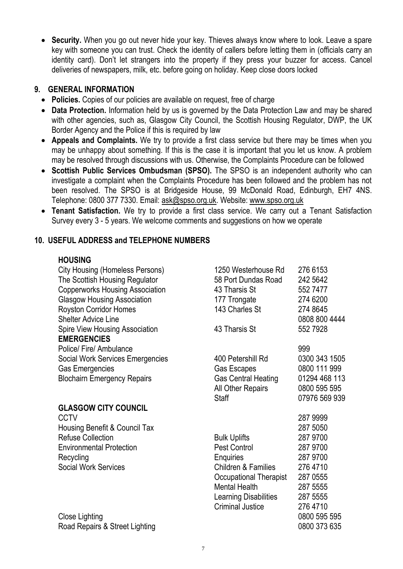**Security.** When you go out never hide your key. Thieves always know where to look. Leave a spare key with someone you can trust. Check the identity of callers before letting them in (officials carry an identity card). Don't let strangers into the property if they press your buzzer for access. Cancel deliveries of newspapers, milk, etc. before going on holiday. Keep close doors locked

## **9. GENERAL INFORMATION**

- **Policies.** Copies of our policies are available on request, free of charge
- **Data Protection.** Information held by us is governed by the Data Protection Law and may be shared with other agencies, such as, Glasgow City Council, the Scottish Housing Regulator, DWP, the UK Border Agency and the Police if this is required by law
- **Appeals and Complaints.** We try to provide a first class service but there may be times when you may be unhappy about something. If this is the case it is important that you let us know. A problem may be resolved through discussions with us. Otherwise, the Complaints Procedure can be followed
- **Scottish Public Services Ombudsman (SPSO).** The SPSO is an independent authority who can investigate a complaint when the Complaints Procedure has been followed and the problem has not been resolved. The SPSO is at Bridgeside House, 99 McDonald Road, Edinburgh, EH7 4NS. Telephone: 0800 377 7330. Email: [ask@spso.org.uk.](mailto:ask@spso.org.uk) Website: [www.spso.org.uk](http://www.spso.org.uk/)
- **Tenant Satisfaction.** We try to provide a first class service. We carry out a Tenant Satisfaction Survey every 3 - 5 years. We welcome comments and suggestions on how we operate

Refuse Collection **Bulk Uplifts** 287 9700 Environmental Protection **Pest Control 287 9700** Recycling **Enquiries** 287 9700 Social Work Services **Children & Families** 276 4710 Occupational Therapist 287 0555 Mental Health 287 5555 Learning Disabilities 287 5555 Criminal Justice 276 4710

Close Lighting 0800 595 595 Road Repairs & Street Lighting **Contract Contract Contract Contract Contract Contract Contract Contract Contract Contract Contract Contract Contract Contract Contract Contract Contract Contract Contract Contract Contract C** 

## **10. USEFUL ADDRESS and TELEPHONE NUMBERS**

### **HOUSING**

| <b>City Housing (Homeless Persons)</b>  | 1250 Westerhouse Rd        | 276 6153      |
|-----------------------------------------|----------------------------|---------------|
| The Scottish Housing Regulator          | 58 Port Dundas Road        | 242 5642      |
| <b>Copperworks Housing Association</b>  | 43 Tharsis St              | 552 7477      |
| <b>Glasgow Housing Association</b>      | 177 Trongate               | 274 6200      |
| <b>Royston Corridor Homes</b>           | 143 Charles St             | 274 8645      |
| <b>Shelter Advice Line</b>              |                            | 0808 800 4444 |
| <b>Spire View Housing Association</b>   | 43 Tharsis St              | 552 7928      |
| <b>EMERGENCIES</b>                      |                            |               |
| <b>Police/Fire/Ambulance</b>            |                            | 999           |
| <b>Social Work Services Emergencies</b> | 400 Petershill Rd          | 0300 343 1505 |
| <b>Gas Emergencies</b>                  | <b>Gas Escapes</b>         | 0800 111 999  |
| <b>Blochairn Emergency Repairs</b>      | <b>Gas Central Heating</b> | 01294 468 113 |
|                                         | <b>All Other Repairs</b>   | 0800 595 595  |
|                                         | <b>Staff</b>               | 07976 569 939 |
| <b>GLASGOW CITY COUNCIL</b>             |                            |               |
| <b>CCTV</b>                             |                            | 287 9999      |
| Housing Benefit & Council Tax           |                            | 287 5050      |